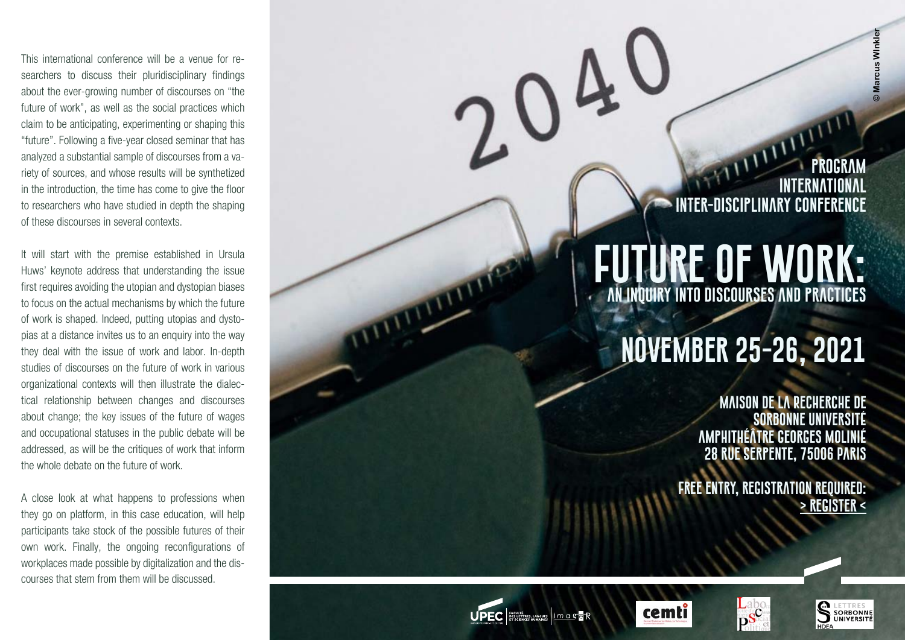This international conference will be a venue for re searchers to discuss their pluridisciplinary findings about the ever-growing number of discourses on "the future of work", as well as the social practices which claim to be anticipating, experimenting or shaping this "future". Following a five-year closed seminar that has analyzed a substantial sample of discourses from a va riety of sources, and whose results will be synthetized in the introduction, the time has come to give the floor to researchers who have studied in depth the shaping of these discourses in several contexts.

It will start with the premise established in Ursula Huws' keynote address that understanding the issue first requires avoiding the utopian and dystopian biases to focus on the actual mechanisms by which the future of work is shaped. Indeed, putting utopias and dysto pias at a distance invites us to an enquiry into the way they deal with the issue of work and labor. In-depth studies of discourses on the future of work in various organizational contexts will then illustrate the dialec tical relationship between changes and discourses about change; the key issues of the future of wages and occupational statuses in the public debate will be addressed, as will be the critiques of work that inform the whole debate on the future of work.

A close look at what happens to professions when they go on platform, in this case education, will help participants take stock of the possible futures of their own work. Finally, the ongoing reconfigurations of workplaces made possible by digitalization and the dis courses that stem from them will be discussed.

**program International inter-disciplinary conference**

## **Future of work: an inquiry into discourses and practices**

# **november 25-26, 2021**

**Maison de la Recherche de Sorbonne Université Amphithéâtre Georges Molinié 28 rue Serpente, 75006 Paris** 

**Free entry, registration required: [> register <](https://framaforms.org/inscription-au-colloque-future-of-work-paris-25-et-26-novembre-2021-1632408004)**